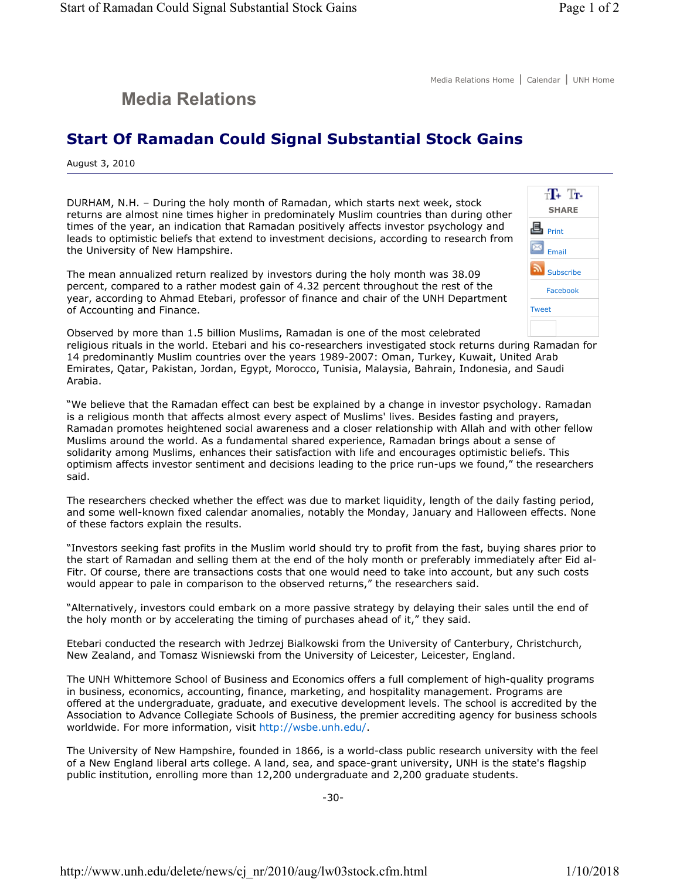## **Media Relations**

## **Start Of Ramadan Could Signal Substantial Stock Gains**

August 3, 2010

DURHAM, N.H. – During the holy month of Ramadan, which starts next week, stock returns are almost nine times higher in predominately Muslim countries than during other times of the year, an indication that Ramadan positively affects investor psychology and leads to optimistic beliefs that extend to investment decisions, according to research from the University of New Hampshire.

The mean annualized return realized by investors during the holy month was 38.09 percent, compared to a rather modest gain of 4.32 percent throughout the rest of the year, according to Ahmad Etebari, professor of finance and chair of the UNH Department of Accounting and Finance.



Observed by more than 1.5 billion Muslims, Ramadan is one of the most celebrated

religious rituals in the world. Etebari and his co-researchers investigated stock returns during Ramadan for 14 predominantly Muslim countries over the years 1989-2007: Oman, Turkey, Kuwait, United Arab Emirates, Qatar, Pakistan, Jordan, Egypt, Morocco, Tunisia, Malaysia, Bahrain, Indonesia, and Saudi Arabia.

"We believe that the Ramadan effect can best be explained by a change in investor psychology. Ramadan is a religious month that affects almost every aspect of Muslims' lives. Besides fasting and prayers, Ramadan promotes heightened social awareness and a closer relationship with Allah and with other fellow Muslims around the world. As a fundamental shared experience, Ramadan brings about a sense of solidarity among Muslims, enhances their satisfaction with life and encourages optimistic beliefs. This optimism affects investor sentiment and decisions leading to the price run-ups we found," the researchers said.

The researchers checked whether the effect was due to market liquidity, length of the daily fasting period, and some well-known fixed calendar anomalies, notably the Monday, January and Halloween effects. None of these factors explain the results.

"Investors seeking fast profits in the Muslim world should try to profit from the fast, buying shares prior to the start of Ramadan and selling them at the end of the holy month or preferably immediately after Eid al-Fitr. Of course, there are transactions costs that one would need to take into account, but any such costs would appear to pale in comparison to the observed returns," the researchers said.

"Alternatively, investors could embark on a more passive strategy by delaying their sales until the end of the holy month or by accelerating the timing of purchases ahead of it," they said.

Etebari conducted the research with Jedrzej Bialkowski from the University of Canterbury, Christchurch, New Zealand, and Tomasz Wisniewski from the University of Leicester, Leicester, England.

The UNH Whittemore School of Business and Economics offers a full complement of high-quality programs in business, economics, accounting, finance, marketing, and hospitality management. Programs are offered at the undergraduate, graduate, and executive development levels. The school is accredited by the Association to Advance Collegiate Schools of Business, the premier accrediting agency for business schools worldwide. For more information, visit http://wsbe.unh.edu/.

The University of New Hampshire, founded in 1866, is a world-class public research university with the feel of a New England liberal arts college. A land, sea, and space-grant university, UNH is the state's flagship public institution, enrolling more than 12,200 undergraduate and 2,200 graduate students.

-30-